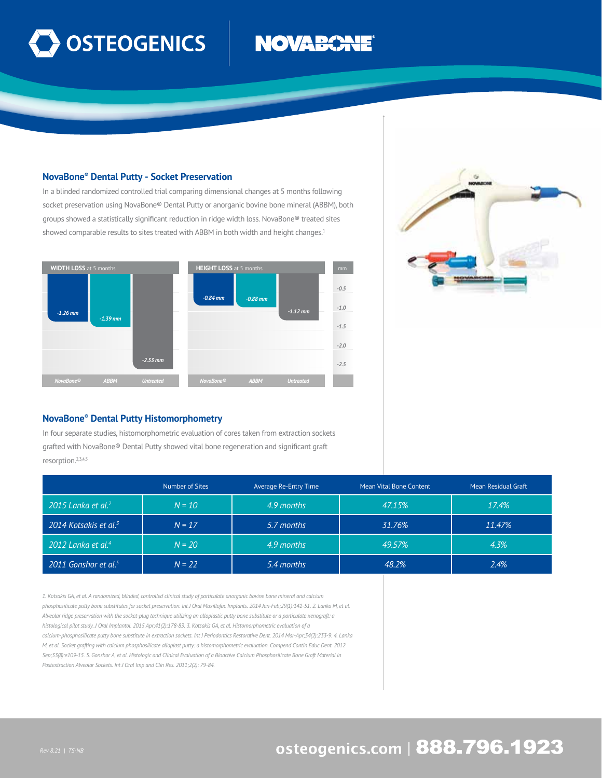

# **NOVABOR**

## **NovaBone® Dental Putty - Socket Preservation**

In a blinded randomized controlled trial comparing dimensional changes at 5 months following socket preservation using NovaBone® Dental Putty or anorganic bovine bone mineral (ABBM), both groups showed a statistically significant reduction in ridge width loss. NovaBone® treated sites showed comparable results to sites treated with ABBM in both width and height changes.<sup>1</sup>





### **NovaBone® Dental Putty Histomorphometry**

In four separate studies, histomorphometric evaluation of cores taken from extraction sockets grafted with NovaBone® Dental Putty showed vital bone regeneration and significant graft resorption.2,3,4,5

|                                   | Number of Sites | Average Re-Entry Time | Mean Vital Bone Content | Mean Residual Graft |
|-----------------------------------|-----------------|-----------------------|-------------------------|---------------------|
| 2015 Lanka et al. <sup>2</sup>    | $N = 10$        | 4.9 months            | 47.15%                  | 17.4%               |
| 2014 Kotsakis et al. <sup>3</sup> | $N = 17$        | 5.7 months            | 31.76%                  | 11.47%              |
| 2012 Lanka et al. <sup>4</sup>    | $N = 20$        | 4.9 months            | 49.57%                  | 4.3%                |
| 2011 Gonshor et al. <sup>5</sup>  | $N = 22$        | 5.4 months            | 48.2%                   | 2.4%                |

*1. Kotsakis GA, et al. A randomized, blinded, controlled clinical study of particulate anorganic bovine bone mineral and calcium phosphosilicate putty bone substitutes for socket preservation. Int J Oral Maxillofac Implants. 2014 Jan-Feb;29(1):141-51. 2. Lanka M, et al. Alveolar ridge preservation with the socket-plug technique utilizing an alloplastic putty bone substitute or a particulate xenograft: a histological pilot study. J Oral Implantol. 2015 Apr;41(2):178-83. 3. Kotsakis GA, et al. Histomorphometric evaluation of a calcium-phosphosilicate putty bone substitute in extraction sockets. Int J Periodontics Restorative Dent. 2014 Mar-Apr;34(2):233-9. 4. Lanka M, et al. Socket grafting with calcium phosphosilicate alloplast putty: a histomorphometric evaluation. Compend Contin Educ Dent. 2012 Sep;33(8):e109-15. 5. Gonshor A, et al. Histologic and Clinical Evaluation of a Bioactive Calcium Phosphosilicate Bone Graft Material in Postextraction Alveolar Sockets. Int J Oral Imp and Clin Res. 2011;2(2): 79-84.* 

# osteogenics.com | 888.796.1923